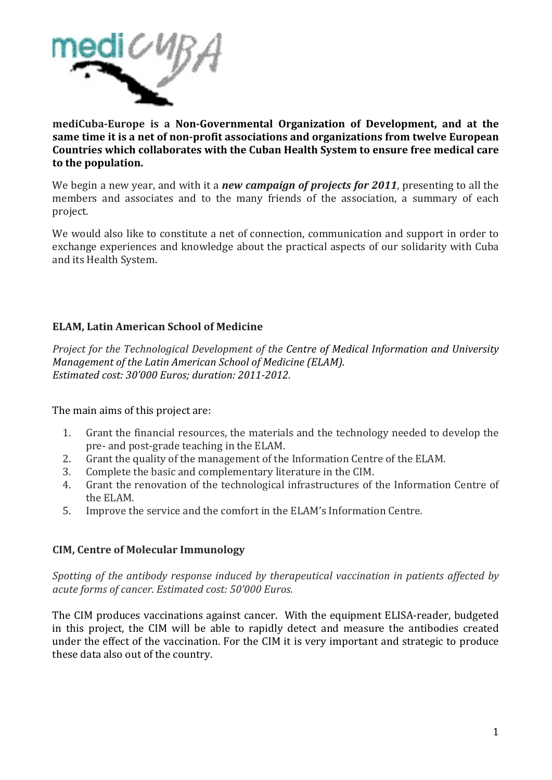

mediCuba-Europe is a Non-Governmental Organization of Development, and at the same time it is a net of non-profit associations and organizations from twelve European Countries which collaborates with the Cuban Health System to ensure free medical care to the population.

We begin a new year, and with it a **new campaign of projects for 2011**, presenting to all the members and associates and to the many friends of the association, a summary of each project.

We would also like to constitute a net of connection, communication and support in order to exchange experiences and knowledge about the practical aspects of our solidarity with Cuba and its Health System.

# **ELAM, Latin American School of Medicine**

Project for the Technological Development of the Centre of Medical Information and University Management of the Latin American School of Medicine (ELAM). Estimated cost: 30'000 Euros: duration: 2011-2012.

The main aims of this project are:

- Grant the financial resources, the materials and the technology needed to develop the  $1<sup>1</sup>$ pre- and post-grade teaching in the ELAM.
- $2.$ Grant the quality of the management of the Information Centre of the ELAM.
- Complete the basic and complementary literature in the CIM. 3.
- Grant the renovation of the technological infrastructures of the Information Centre of  $\overline{4}$ the ELAM.
- 5. Improve the service and the comfort in the ELAM's Information Centre.

# **CIM, Centre of Molecular Immunology**

Spotting of the antibody response induced by therapeutical vaccination in patients affected by acute forms of cancer. Estimated cost: 50'000 Euros.

The CIM produces vaccinations against cancer. With the equipment ELISA-reader, budgeted in this project, the CIM will be able to rapidly detect and measure the antibodies created under the effect of the vaccination. For the CIM it is very important and strategic to produce these data also out of the country.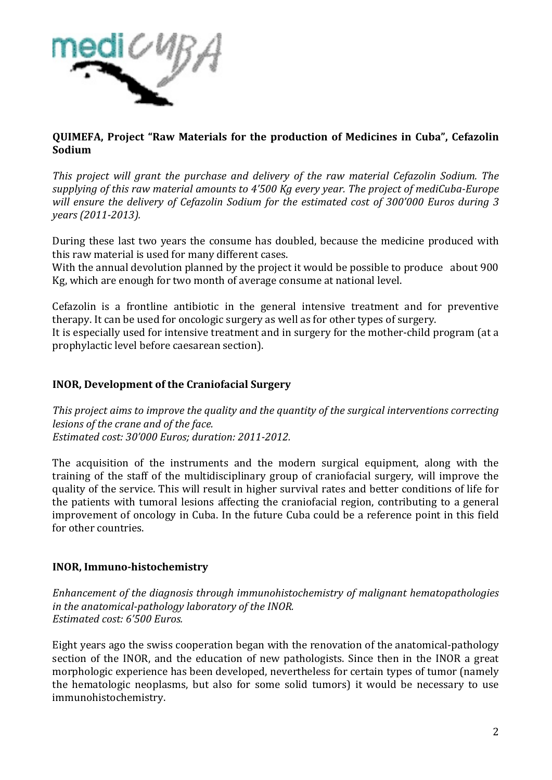

**QUIMEFA, Project "Raw Materials for the production of Medicines in Cuba", Cefazolin. Sodium**

*This project will grant the purchase and delivery of the raw material Cefazolin Sodium. The* supplying of this raw material amounts to 4'500 Kg every year. The project of mediCuba-Europe *will ensure the delivery of Cefazolin Sodium for the estimated cost of 300'000 Euros during 3 years (2011-2013).* 

During these last two years the consume has doubled, because the medicine produced with this raw material is used for many different cases.

With the annual devolution planned by the project it would be possible to produce about 900 Kg, which are enough for two month of average consume at national level.

Cefazolin is a frontline antibiotic in the general intensive treatment and for preventive therapy. It can be used for oncologic surgery as well as for other types of surgery. It is especially used for intensive treatment and in surgery for the mother-child program (at a prophylactic level before caesarean section).

## **INOR, Development of the Craniofacial Surgery**

*This project aims to improve the quality and the quantity of the surgical interventions correcting lesions of the crane and of the face. Estimated cost: 30'000 Euros: duration: 2011-2012.* 

The acquisition of the instruments and the modern surgical equipment, along with the training of the staff of the multidisciplinary group of craniofacial surgery, will improve the quality of the service. This will result in higher survival rates and better conditions of life for the patients with tumoral lesions affecting the craniofacial region, contributing to a general improvement of oncology in Cuba. In the future Cuba could be a reference point in this field for other countries.

## **INOR, Immuno-histochemistry**

*Enhancement of the diagnosis through immunohistochemistry of malignant hematopathologies in the anatomical-pathology laboratory of the INOR. Estimated cost: 6'500 Euros.* 

Eight years ago the swiss cooperation began with the renovation of the anatomical-pathology section of the INOR, and the education of new pathologists. Since then in the INOR a great morphologic experience has been developed, nevertheless for certain types of tumor (namely the hematologic neoplasms, but also for some solid tumors) it would be necessary to use immunohistochemistry.